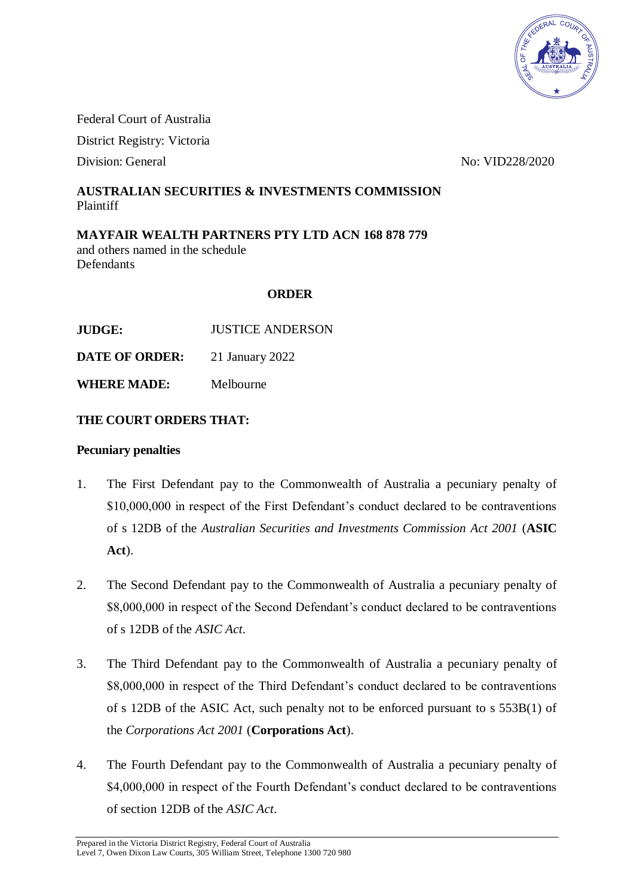

Federal Court of Australia

District Registry: Victoria

Division: General No: VID228/2020

## **AUSTRALIAN SECURITIES & INVESTMENTS COMMISSION** Plaintiff

**MAYFAIR WEALTH PARTNERS PTY LTD ACN 168 878 779** and others named in the schedule **Defendants** 

### **ORDER**

**JUDGE:** JUSTICE ANDERSON

**DATE OF ORDER:** 21 January 2022

**WHERE MADE:** Melbourne

### **THE COURT ORDERS THAT:**

#### **Pecuniary penalties**

- 1. The First Defendant pay to the Commonwealth of Australia a pecuniary penalty of \$10,000,000 in respect of the First Defendant's conduct declared to be contraventions of s 12DB of the *Australian Securities and Investments Commission Act 2001* (**ASIC Act**).
- 2. The Second Defendant pay to the Commonwealth of Australia a pecuniary penalty of \$8,000,000 in respect of the Second Defendant's conduct declared to be contraventions of s 12DB of the *ASIC Act*.
- 3. The Third Defendant pay to the Commonwealth of Australia a pecuniary penalty of \$8,000,000 in respect of the Third Defendant's conduct declared to be contraventions of s 12DB of the ASIC Act, such penalty not to be enforced pursuant to s 553B(1) of the *Corporations Act 2001* (**Corporations Act**).
- 4. The Fourth Defendant pay to the Commonwealth of Australia a pecuniary penalty of \$4,000,000 in respect of the Fourth Defendant's conduct declared to be contraventions of section 12DB of the *ASIC Act*.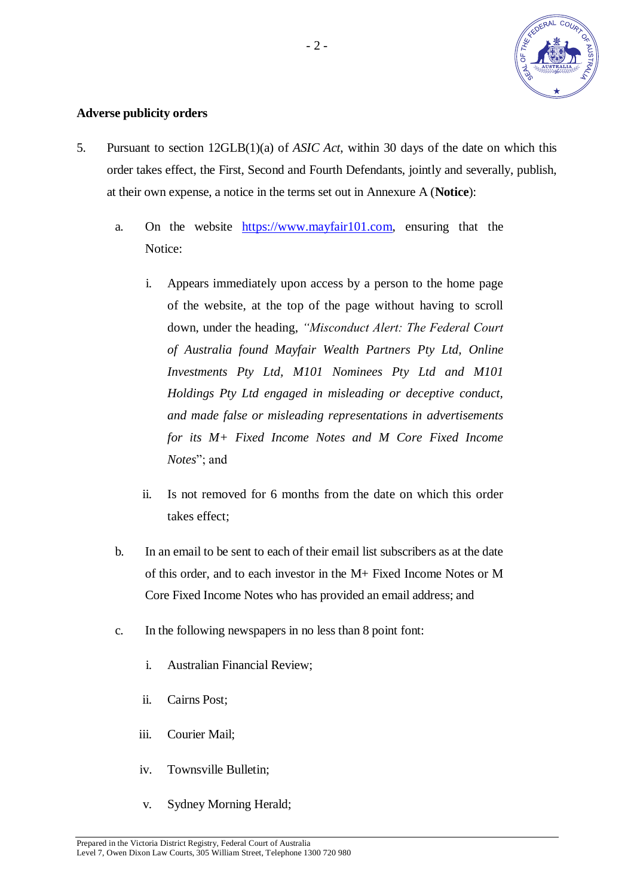

### **Adverse publicity orders**

- <span id="page-1-0"></span>5. Pursuant to section 12GLB(1)(a) of *ASIC Act*, within 30 days of the date on which this order takes effect, the First, Second and Fourth Defendants, jointly and severally, publish, at their own expense, a notice in the terms set out in Annexure A (**Notice**):
	- a. On the website [https://www.mayfair101.com,](https://www.mayfair101.com/) ensuring that the Notice:
		- i. Appears immediately upon access by a person to the home page of the website, at the top of the page without having to scroll down, under the heading, *"Misconduct Alert: The Federal Court of Australia found Mayfair Wealth Partners Pty Ltd, Online Investments Pty Ltd, M101 Nominees Pty Ltd and M101 Holdings Pty Ltd engaged in misleading or deceptive conduct, and made false or misleading representations in advertisements for its M+ Fixed Income Notes and M Core Fixed Income Notes*"; and
		- ii. Is not removed for 6 months from the date on which this order takes effect;
	- b. In an email to be sent to each of their email list subscribers as at the date of this order, and to each investor in the M+ Fixed Income Notes or M Core Fixed Income Notes who has provided an email address; and
	- c. In the following newspapers in no less than 8 point font:
		- i. Australian Financial Review;
		- ii. Cairns Post;
		- iii. Courier Mail;
		- iv. Townsville Bulletin;
		- v. Sydney Morning Herald;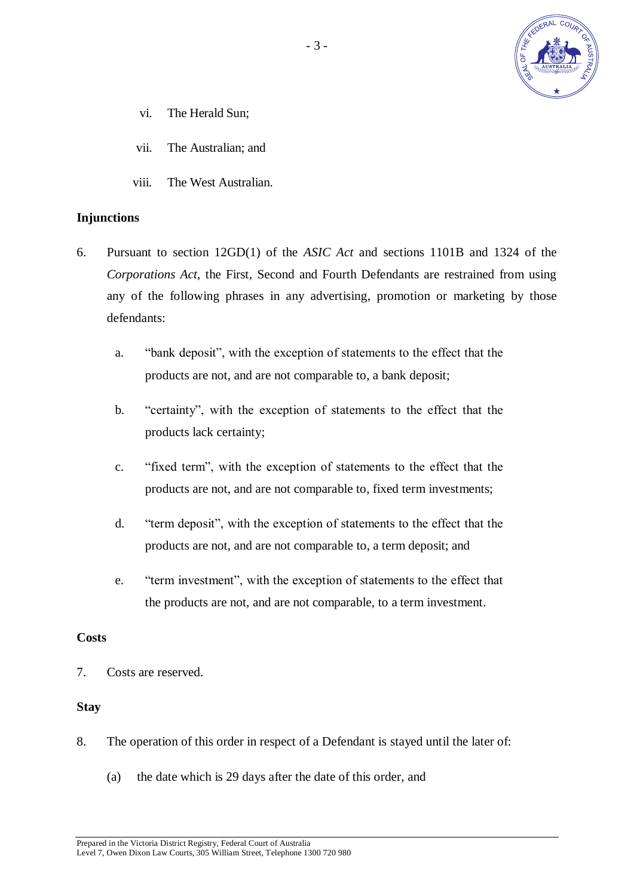

- vi. The Herald Sun;
- vii. The Australian; and
- viii. The West Australian.

#### **Injunctions**

- 6. Pursuant to section 12GD(1) of the *ASIC Act* and sections 1101B and 1324 of the *Corporations Act*, the First, Second and Fourth Defendants are restrained from using any of the following phrases in any advertising, promotion or marketing by those defendants:
	- a. "bank deposit", with the exception of statements to the effect that the products are not, and are not comparable to, a bank deposit;
	- b. "certainty", with the exception of statements to the effect that the products lack certainty;
	- c. "fixed term", with the exception of statements to the effect that the products are not, and are not comparable to, fixed term investments;
	- d. "term deposit", with the exception of statements to the effect that the products are not, and are not comparable to, a term deposit; and
	- e. "term investment", with the exception of statements to the effect that the products are not, and are not comparable, to a term investment.

#### **Costs**

7. Costs are reserved.

#### **Stay**

- 8. The operation of this order in respect of a Defendant is stayed until the later of:
	- (a) the date which is 29 days after the date of this order, and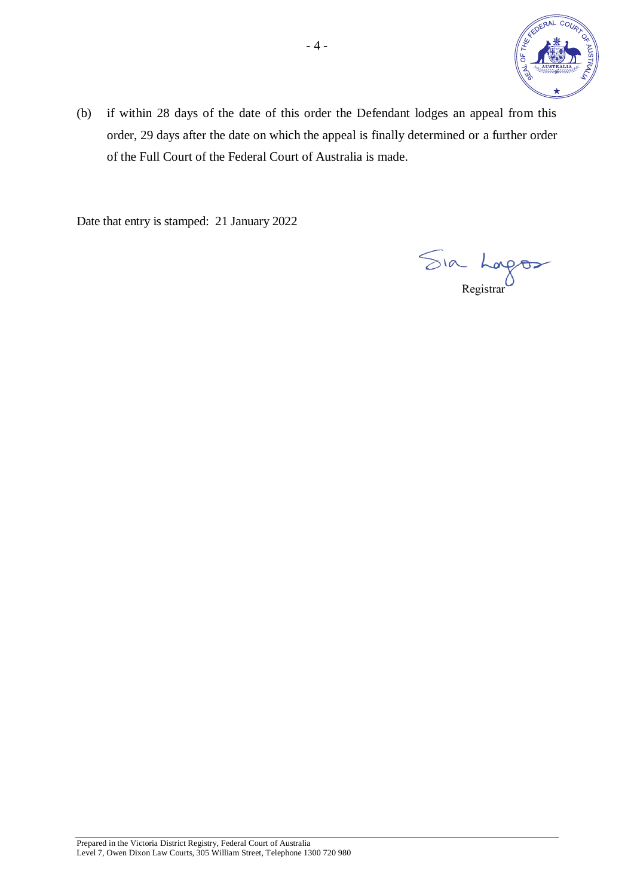

(b) if within 28 days of the date of this order the Defendant lodges an appeal from this order, 29 days after the date on which the appeal is finally determined or a further order of the Full Court of the Federal Court of Australia is made.

Date that entry is stamped: 21 January 2022

Sia Lorges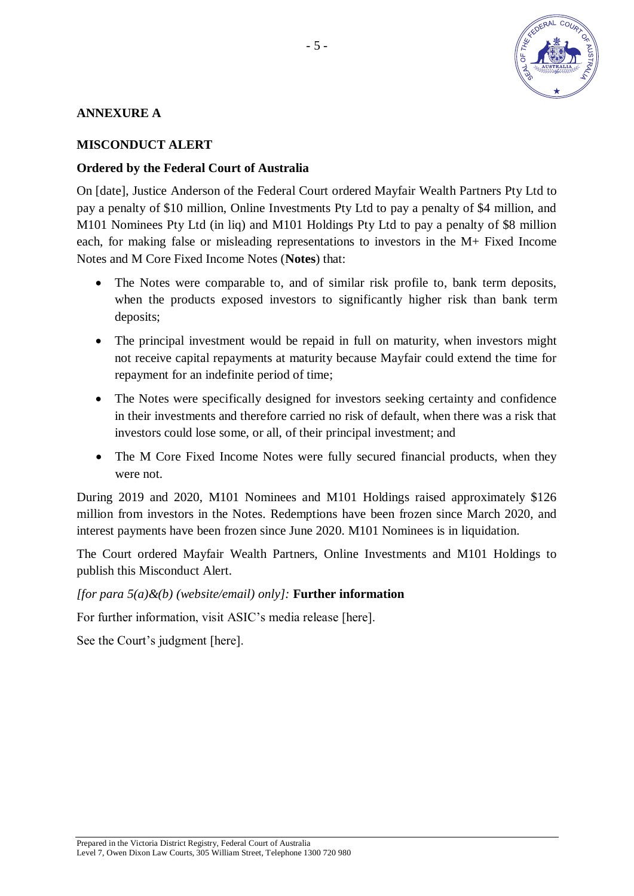

# **ANNEXURE A**

# **MISCONDUCT ALERT**

# **Ordered by the Federal Court of Australia**

On [date], Justice Anderson of the Federal Court ordered Mayfair Wealth Partners Pty Ltd to pay a penalty of \$10 million, Online Investments Pty Ltd to pay a penalty of \$4 million, and M101 Nominees Pty Ltd (in liq) and M101 Holdings Pty Ltd to pay a penalty of \$8 million each, for making false or misleading representations to investors in the M+ Fixed Income Notes and M Core Fixed Income Notes (**Notes**) that:

- The Notes were comparable to, and of similar risk profile to, bank term deposits, when the products exposed investors to significantly higher risk than bank term deposits;
- The principal investment would be repaid in full on maturity, when investors might not receive capital repayments at maturity because Mayfair could extend the time for repayment for an indefinite period of time;
- The Notes were specifically designed for investors seeking certainty and confidence in their investments and therefore carried no risk of default, when there was a risk that investors could lose some, or all, of their principal investment; and
- The M Core Fixed Income Notes were fully secured financial products, when they were not.

During 2019 and 2020, M101 Nominees and M101 Holdings raised approximately \$126 million from investors in the Notes. Redemptions have been frozen since March 2020, and interest payments have been frozen since June 2020. M101 Nominees is in liquidation.

The Court ordered Mayfair Wealth Partners, Online Investments and M101 Holdings to publish this Misconduct Alert.

### *[for para [5\(](#page-1-0)a)&(b) (website/email) only]:* **Further information**

For further information, visit ASIC's media release [here].

See the Court's judgment [here].